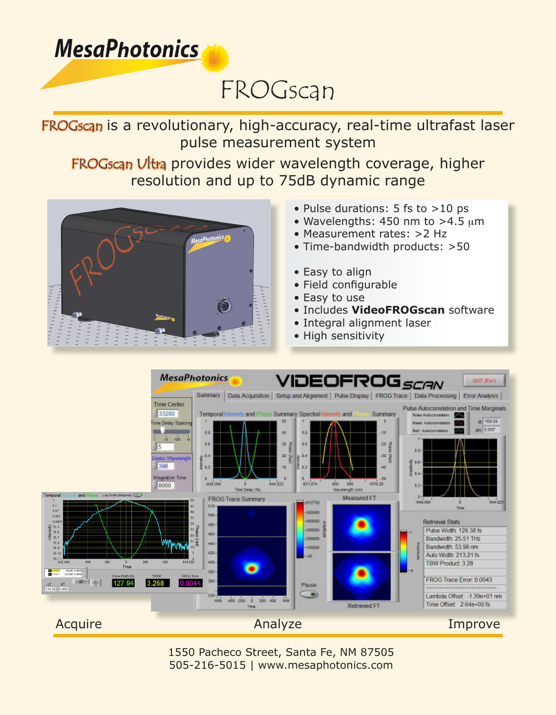## **MesaPhotonics**

# FROGscan

### FROGscan is a revolutionary, high-accuracy, real-time ultrafast laser pulse measurement system

#### FROGscan Ultra provides wider wavelength coverage, higher resolution and up to 75dB dynamic range



- Pulse durations: 5 fs to >10 ps
- Wavelengths: 450 nm to  $>4.5 \mu m$
- Measurement rates: >2 Hz
- Time-bandwidth products: >50
- Easy to align
- Field configurable
- Easy to use
- Includes **VideoFROGscan** software
- Integral alignment laser
- High sensitivity



1550 Pacheco Street, Santa Fe, NM 87505 505-216-5015 | www.mesaphotonics.com